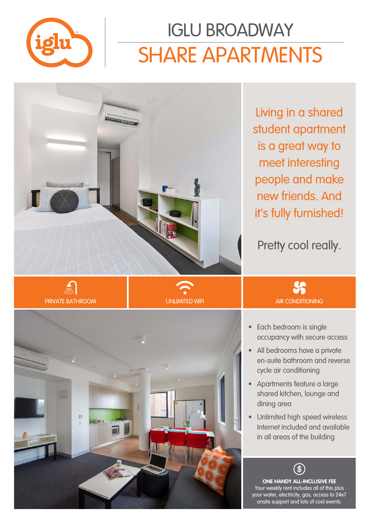

# SHARE APARTMENTS IGLU BROADWAY